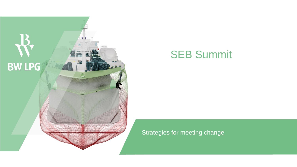

## SEB Summit

### Strategies for meeting change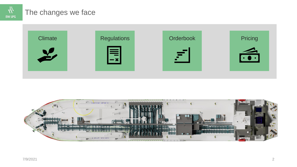

## The changes we face



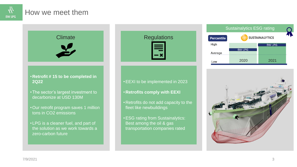

## How we meet them



the solution as we work towards a zero-carbon future



#### •EEXI to be implemented in 2023

- **Retrofits comply with EEXI**
- Retrofits do not add capacity to the fleet like newbuildings
- •ESG rating from Sustainalytics: Best among the oil & gas transportation companies rated



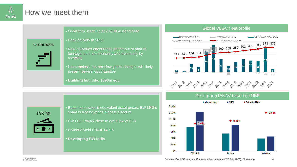

## How we meet them

|                  | • Orderbook standing at 23% of exi                                                 |
|------------------|------------------------------------------------------------------------------------|
| <b>Orderbook</b> | • Peak delivery in 2023                                                            |
|                  | . New deliveries encourages phase<br>tonnage, both commercially and e<br>recycling |
|                  | • Nevertheless, the next few years'                                                |

sting fleet

- -out of mature ventually by
- changes will likely present several opportunities
- **Building liquidity: \$390m eoq**

#### Global VLGC fleet profile



**Pricing** 

• Based on newbuild equivalent asset prices, BW LPG's share is trading at the highest discount • BW LPG P/NAV close to cycle low of 0.5x • Dividend yield LTM = 14.1% • **Developing BW India**

Peer group P/NAV based on NBE